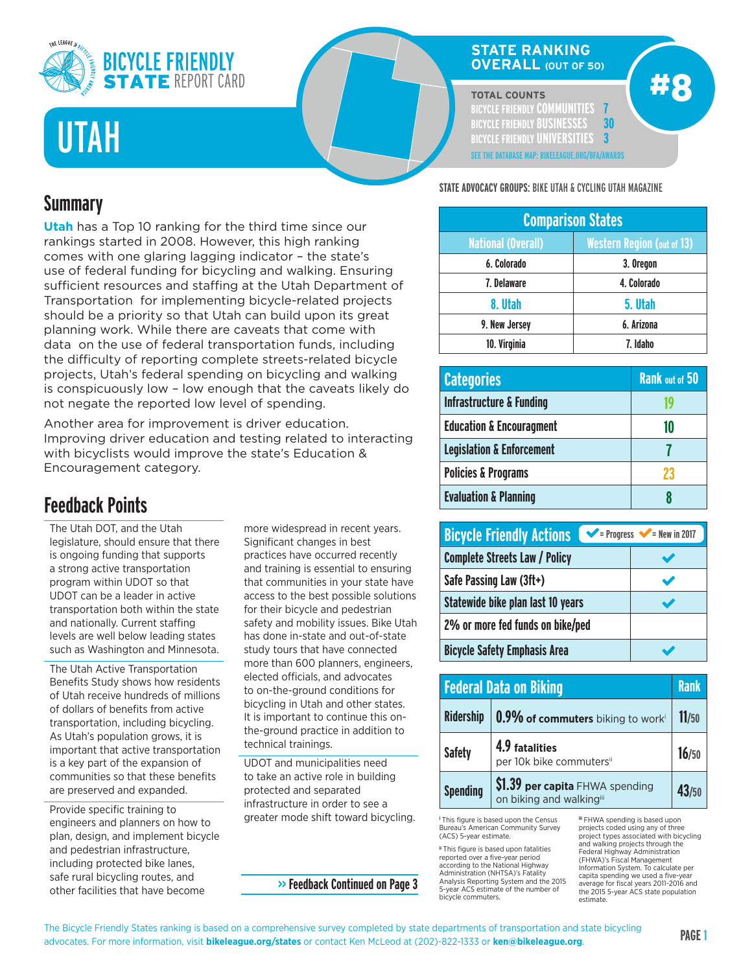

# UTAH

## **STATE RANKING OVERALL (OUT OF 50)**

#### **TOTAL COUNTS**

**BICYCLE FRIENDLY COMMUNITIES 7 BICYCLE FRIENDLY BUSINESSES 30 BICYCLE FRIENDLY UNIVERSITIES 3 SEE THE DATABASE MAP: BIKELEAGUE.ORG/BFA/AWARDS** #8

## **Summary**

**Utah** has a Top 10 ranking for the third time since our rankings started in 2008. However, this high ranking comes with one glaring lagging indicator – the state's use of federal funding for bicycling and walking. Ensuring sufficient resources and staffing at the Utah Department of Transportation for implementing bicycle-related projects should be a priority so that Utah can build upon its great planning work. While there are caveats that come with data on the use of federal transportation funds, including the difficulty of reporting complete streets-related bicycle projects, Utah's federal spending on bicycling and walking is conspicuously low – low enough that the caveats likely do not negate the reported low level of spending.

Another area for improvement is driver education. Improving driver education and testing related to interacting with bicyclists would improve the state's Education & Encouragement category.

## **Feedback Points**

The Utah DOT, and the Utah legislature, should ensure that there is ongoing funding that supports a strong active transportation program within UDOT so that UDOT can be a leader in active transportation both within the state and nationally. Current staffing levels are well below leading states such as Washington and Minnesota.

The Utah Active Transportation Benefits Study shows how residents of Utah receive hundreds of millions of dollars of benefits from active transportation, including bicycling. As Utah's population grows, it is important that active transportation is a key part of the expansion of communities so that these benefits are preserved and expanded.

Provide specific training to engineers and planners on how to plan, design, and implement bicycle and pedestrian infrastructure, including protected bike lanes, safe rural bicycling routes, and other facilities that have become

more widespread in recent years. Significant changes in best practices have occurred recently and training is essential to ensuring that communities in your state have access to the best possible solutions for their bicycle and pedestrian safety and mobility issues. Bike Utah has done in-state and out-of-state study tours that have connected more than 600 planners, engineers, elected officials, and advocates to on-the-ground conditions for bicycling in Utah and other states. It is important to continue this onthe-ground practice in addition to technical trainings.

UDOT and municipalities need to take an active role in building protected and separated infrastructure in order to see a greater mode shift toward bicycling.

## **>> Feedback Continued on Page 3**

**STATE ADVOCACY GROUPS:** BIKE UTAH & CYCLING UTAH MAGAZINE

| <b>Comparison States</b>  |                                   |
|---------------------------|-----------------------------------|
| <b>National (Overall)</b> | <b>Western Region (out of 13)</b> |
| 6. Colorado               | 3. Oregon                         |
| 7. Delaware               | 4. Colorado                       |
| 8. Utah                   | 5. Utah                           |
| 9. New Jersey             | 6. Arizona                        |
| 10. Virginia              | 7. Idaho                          |

| <b>Categories</b>                    | <b>Rank out of 50</b> |
|--------------------------------------|-----------------------|
| <b>Infrastructure &amp; Funding</b>  |                       |
| <b>Education &amp; Encouragment</b>  | 10                    |
| <b>Legislation &amp; Enforcement</b> |                       |
| <b>Policies &amp; Programs</b>       | 23                    |
| <b>Evaluation &amp; Planning</b>     |                       |

| <b>Bicycle Friendly Actions</b>      | $\blacktriangleright$ = Progress $\blacktriangleright$ = New in 2017 |
|--------------------------------------|----------------------------------------------------------------------|
| <b>Complete Streets Law / Policy</b> |                                                                      |
| Safe Passing Law (3ft+)              |                                                                      |
| Statewide bike plan last 10 years    |                                                                      |
| 2% or more fed funds on bike/ped     |                                                                      |
| <b>Bicycle Safety Emphasis Area</b>  |                                                                      |

|                  | <b>Federal Data on Biking</b>                               | <b>Rank</b> |
|------------------|-------------------------------------------------------------|-------------|
| <b>Ridership</b> | 0.9% of commuters biking to worki                           | 11/50       |
| <b>Safety</b>    | 4.9 fatalities<br>per 10k bike commutersii                  | 16/50       |
| <b>Spending</b>  | \$1.39 per capita FHWA spending<br>on biking and walkingiii | 43/50       |

**<sup>i</sup>** This figure is based upon the Census Bureau's American Community Survey (ACS) 5-year estimate.

**ii** This figure is based upon fatalities reported over a five-year period according to the National Highway Administration (NHTSA)'s Fatality Analysis Reporting System and the 2015 5-year ACS estimate of the number of bicycle commuters.

**iii** FHWA spending is based upon projects coded using any of three project types associated with bicycling and walking projects through the Federal Highway Administration (FHWA)'s Fiscal Management Information System. To calculate per capita spending we used a five-ye average for fiscal years 2011-2016 and the 2015 5-year ACS state population estimate.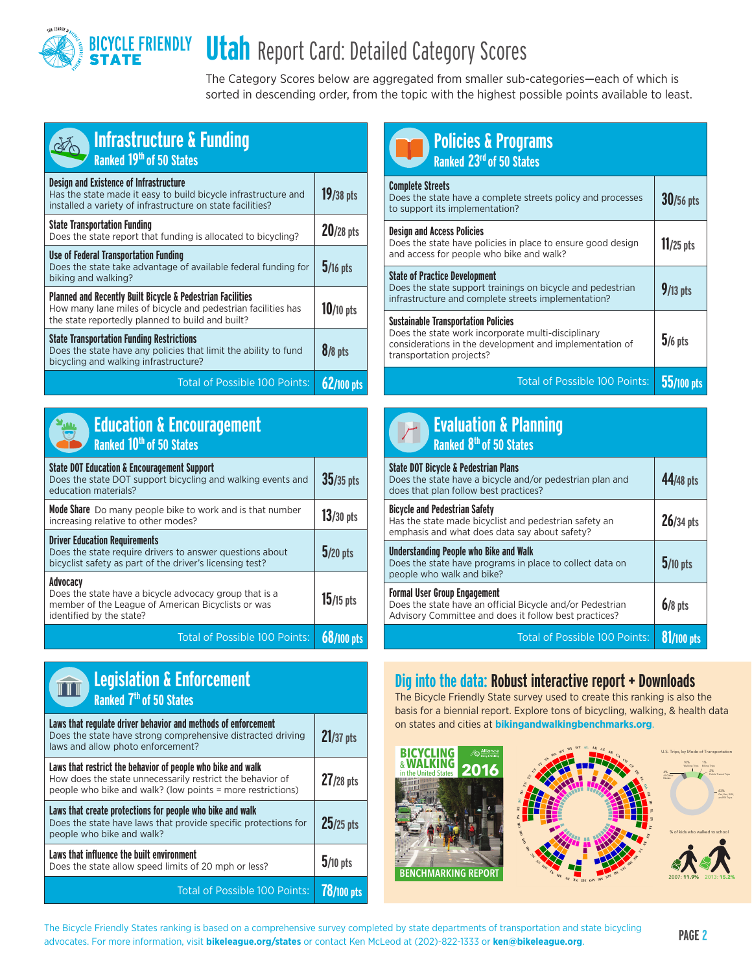

The Category Scores below are aggregated from smaller sub-categories—each of which is sorted in descending order, from the topic with the highest possible points available to least.

| <b>Infrastructure &amp; Funding</b><br>Ranked 19th of 50 States                                                                                                                           |              |
|-------------------------------------------------------------------------------------------------------------------------------------------------------------------------------------------|--------------|
| <b>Design and Existence of Infrastructure</b><br>Has the state made it easy to build bicycle infrastructure and<br>installed a variety of infrastructure on state facilities?             | $19/38$ pts  |
| <b>State Transportation Funding</b><br>Does the state report that funding is allocated to bicycling?                                                                                      | $20/28$ pts  |
| <b>Use of Federal Transportation Funding</b><br>Does the state take advantage of available federal funding for<br>biking and walking?                                                     | $5/16$ pts   |
| <b>Planned and Recently Built Bicycle &amp; Pedestrian Facilities</b><br>How many lane miles of bicycle and pedestrian facilities has<br>the state reportedly planned to build and built? | $10/10$ pts  |
| <b>State Transportation Funding Restrictions</b><br>Does the state have any policies that limit the ability to fund<br>bicycling and walking infrastructure?                              | $8/8$ pts    |
| <b>Total of Possible 100 Points:</b>                                                                                                                                                      | $62/100$ pts |



|                                      | <b>Education &amp; Encouragement</b> |  |
|--------------------------------------|--------------------------------------|--|
| Ranked 10 <sup>th</sup> of 50 States |                                      |  |

| <b>State DOT Education &amp; Encouragement Support</b><br>Does the state DOT support bicycling and walking events and<br>education materials?                | $35/35$ pts |
|--------------------------------------------------------------------------------------------------------------------------------------------------------------|-------------|
| <b>Mode Share</b> Do many people bike to work and is that number<br>increasing relative to other modes?                                                      | $13/30$ pts |
| <b>Driver Education Requirements</b><br>Does the state require drivers to answer questions about<br>bicyclist safety as part of the driver's licensing test? | $5/20$ pts  |
| Advocacv<br>Does the state have a bicycle advocacy group that is a<br>member of the League of American Bicyclists or was<br>identified by the state?         | $15/15$ pts |
| <b>Total of Possible 100 Points:</b>                                                                                                                         |             |



| <b>Policies &amp; Programs</b><br>Ranked 23 <sup>rd</sup> of 50 States                                                                                                                  |              |
|-----------------------------------------------------------------------------------------------------------------------------------------------------------------------------------------|--------------|
| <b>Complete Streets</b><br>Does the state have a complete streets policy and processes<br>to support its implementation?                                                                | 30/56 pts    |
| <b>Design and Access Policies</b><br>Does the state have policies in place to ensure good design<br>and access for people who bike and walk?                                            | $11/25$ pts  |
| <b>State of Practice Development</b><br>Does the state support trainings on bicycle and pedestrian<br>infrastructure and complete streets implementation?                               | $9/13$ pts   |
| <b>Sustainable Transportation Policies</b><br>Does the state work incorporate multi-disciplinary<br>considerations in the development and implementation of<br>transportation projects? | $5/6$ pts    |
| <b>Total of Possible 100 Points:</b>                                                                                                                                                    | $55/100$ pts |

| <b>Evaluation &amp; Planning</b><br><b>Ranked 8th of 50 States</b>                                                                                        |             |
|-----------------------------------------------------------------------------------------------------------------------------------------------------------|-------------|
| <b>State DOT Bicycle &amp; Pedestrian Plans</b><br>Does the state have a bicycle and/or pedestrian plan and<br>does that plan follow best practices?      | 44/48 pts   |
| <b>Bicycle and Pedestrian Safety</b><br>Has the state made bicyclist and pedestrian safety an<br>emphasis and what does data say about safety?            | $26/34$ pts |
| Understanding People who Bike and Walk<br>Does the state have programs in place to collect data on<br>people who walk and bike?                           | $5/10$ pts  |
| <b>Formal User Group Engagement</b><br>Does the state have an official Bicycle and/or Pedestrian<br>Advisory Committee and does it follow best practices? | $6/8$ pts   |
| Total of Possible 100 Points:                                                                                                                             |             |

## Dig into the data: Robust interactive report + Downloads

The Bicycle Friendly State survey used to create this ranking is also the basis for a biennial report. Explore tons of bicycling, walking, & health data on states and cities at **bikingandwalkingbenchmarks.org**.







10% 1% 2% 83%

Walking Trips Biking Trips Public Transit Trips Car, Van, SUV, and RV Trips

**The Bicycle Friendly States ranking is based on a comprehensive survey completed by state departments of transportation and state bicycling PAGE 2<br>
a discrete Frances information with biladeanse and states as sorted less** advocates. For more information, visit **bikeleague.org/states** or contact Ken McLeod at (202)-822-1333 or **ken@bikeleague.org**.